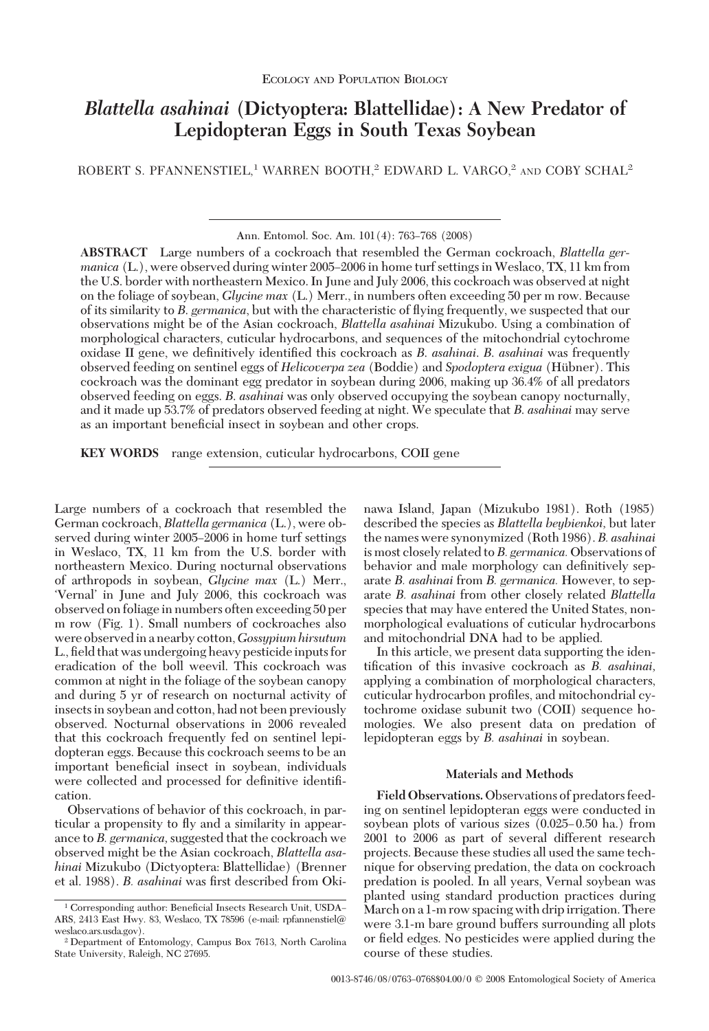# *Blattella asahinai* **(Dictyoptera: Blattellidae): A New Predator of Lepidopteran Eggs in South Texas Soybean**

ROBERT S. PFANNENSTIEL,<sup>1</sup> WARREN BOOTH,<sup>2</sup> EDWARD L. VARGO,<sup>2</sup> AND COBY SCHAL<sup>2</sup>

Ann. Entomol. Soc. Am. 101(4): 763-768 (2008)

**ABSTRACT** Large numbers of a cockroach that resembled the German cockroach, *Blattella germanica* (L.), were observed during winter 2005–2006 in home turf settings in Weslaco, TX, 11 km from the U.S. border with northeastern Mexico. In June and July 2006, this cockroach was observed at night on the foliage of soybean, *Glycine max* (L.) Merr., in numbers often exceeding 50 per m row. Because of its similarity to *B*. *germanica*, but with the characteristic of ßying frequently, we suspected that our observations might be of the Asian cockroach, *Blattella asahinai* Mizukubo. Using a combination of morphological characters, cuticular hydrocarbons, and sequences of the mitochondrial cytochrome oxidase II gene, we definitively identified this cockroach as *B. asahinai*. *B. asahinai* was frequently observed feeding on sentinel eggs of *Helicoverpa zea* (Boddie) and *Spodoptera exigua* (Hübner). This cockroach was the dominant egg predator in soybean during 2006, making up 36.4% of all predators observed feeding on eggs. *B*. *asahinai* was only observed occupying the soybean canopy nocturnally, and it made up 53.7% of predators observed feeding at night. We speculate that *B*. *asahinai* may serve as an important beneficial insect in soybean and other crops.

**KEY WORDS** range extension, cuticular hydrocarbons, COII gene

Large numbers of a cockroach that resembled the German cockroach, *Blattella germanica* (L.), were observed during winter 2005–2006 in home turf settings in Weslaco, TX, 11 km from the U.S. border with northeastern Mexico. During nocturnal observations of arthropods in soybean, *Glycine max* (L.) Merr., 'Vernal' in June and July 2006, this cockroach was observed on foliage in numbers often exceeding 50 per m row (Fig. 1). Small numbers of cockroaches also were observedin a nearby cotton,*Gossypium hirsutum* L., field that was undergoing heavy pesticide inputs for eradication of the boll weevil. This cockroach was common at night in the foliage of the soybean canopy and during 5 yr of research on nocturnal activity of insects in soybean and cotton, had not been previously observed. Nocturnal observations in 2006 revealed that this cockroach frequently fed on sentinel lepidopteran eggs. Because this cockroach seems to be an important beneficial insect in soybean, individuals were collected and processed for definitive identification.

Observations of behavior of this cockroach, in particular a propensity to ßy and a similarity in appearance to *B. germanica,*suggested that the cockroach we observed might be the Asian cockroach, *Blattella asahinai* Mizukubo (Dictyoptera: Blattellidae) (Brenner et al. 1988). *B. asahinai* was first described from Okinawa Island, Japan (Mizukubo 1981). Roth (1985) described the species as *Blattella beybienkoi,* but later the names were synonymized (Roth 1986). *B. asahinai* is most closely related to*B. germanica.*Observations of behavior and male morphology can definitively separate *B. asahinai* from *B. germanica.* However, to separate *B. asahinai* from other closely related *Blattella* species that may have entered the United States, nonmorphological evaluations of cuticular hydrocarbons and mitochondrial DNA had to be applied.

In this article, we present data supporting the identification of this invasive cockroach as *B. asahinai*, applying a combination of morphological characters, cuticular hydrocarbon profiles, and mitochondrial cytochrome oxidase subunit two (COII) sequence homologies. We also present data on predation of lepidopteran eggs by *B. asahinai* in soybean.

# **Materials and Methods**

**Field Observations.**Observations of predators feeding on sentinel lepidopteran eggs were conducted in soybean plots of various sizes  $(0.025-0.50)$  ha.) from 2001 to 2006 as part of several different research projects. Because these studies all used the same technique for observing predation, the data on cockroach predation is pooled. In all years, Vernal soybean was planted using standard production practices during March on a 1-m row spacing with drip irrigation. There were 3.1-m bare ground buffers surrounding all plots or field edges. No pesticides were applied during the course of these studies.

<sup>&</sup>lt;sup>1</sup> Corresponding author: Beneficial Insects Research Unit, USDA-ARS, 2413 East Hwy. 83, Weslaco, TX 78596 (e-mail: rpfannenstiel@ weslaco.ars.usda.gov).

<sup>2</sup> Department of Entomology, Campus Box 7613, North Carolina State University, Raleigh, NC 27695.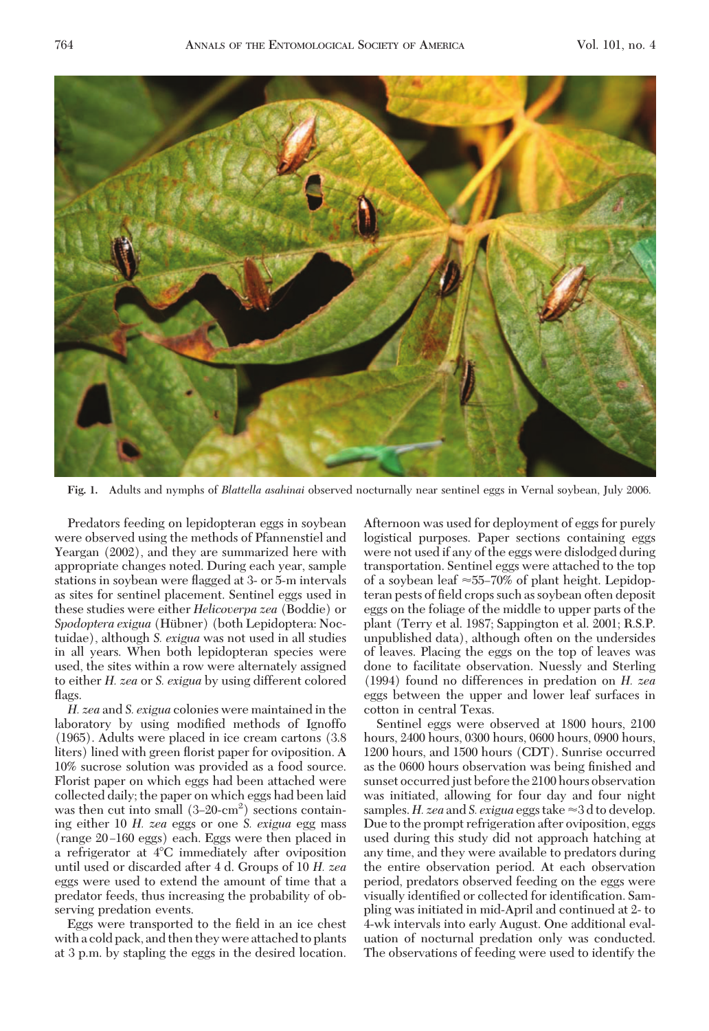

**Fig. 1.** Adults and nymphs of *Blattella asahinai* observed nocturnally near sentinel eggs in Vernal soybean, July 2006.

Predators feeding on lepidopteran eggs in soybean were observed using the methods of Pfannenstiel and Yeargan (2002), and they are summarized here with appropriate changes noted. During each year, sample stations in soybean were ßagged at 3- or 5-m intervals as sites for sentinel placement. Sentinel eggs used in these studies were either *Helicoverpa zea* (Boddie) or *Spodoptera exigua* (Hübner) (both Lepidoptera: Noctuidae), although *S. exigua* was not used in all studies in all years. When both lepidopteran species were used, the sites within a row were alternately assigned to either *H. zea* or *S. exigua* by using different colored flags.

*H. zea* and *S. exigua* colonies were maintained in the laboratory by using modified methods of Ignoffo (1965). Adults were placed in ice cream cartons (3.8 liters) lined with green florist paper for oviposition. A 10% sucrose solution was provided as a food source. Florist paper on which eggs had been attached were collected daily; the paper on which eggs had been laid was then cut into small  $(3-20-cm^2)$  sections containing either 10 *H. zea* eggs or one *S. exigua* egg mass (range 20-160 eggs) each. Eggs were then placed in a refrigerator at 4°C immediately after oviposition until used or discarded after 4 d. Groups of 10 *H. zea* eggs were used to extend the amount of time that a predator feeds, thus increasing the probability of observing predation events.

Eggs were transported to the field in an ice chest with a cold pack, and then they were attached to plants at 3 p.m. by stapling the eggs in the desired location. Afternoon was used for deployment of eggs for purely logistical purposes. Paper sections containing eggs were not used if any of the eggs were dislodged during transportation. Sentinel eggs were attached to the top of a soybean leaf  $\approx$  55–70% of plant height. Lepidopteran pests of field crops such as soybean often deposit eggs on the foliage of the middle to upper parts of the plant (Terry et al. 1987; Sappington et al. 2001; R.S.P. unpublished data), although often on the undersides of leaves. Placing the eggs on the top of leaves was done to facilitate observation. Nuessly and Sterling (1994) found no differences in predation on *H. zea* eggs between the upper and lower leaf surfaces in cotton in central Texas.

Sentinel eggs were observed at 1800 hours, 2100 hours, 2400 hours, 0300 hours, 0600 hours, 0900 hours, 1200 hours, and 1500 hours (CDT). Sunrise occurred as the 0600 hours observation was being finished and sunset occurred just before the 2100 hours observation was initiated, allowing for four day and four night samples. *H. zea* and *S. exigua* eggs take  $\approx$  3 d to develop. Due to the prompt refrigeration after oviposition, eggs used during this study did not approach hatching at any time, and they were available to predators during the entire observation period. At each observation period, predators observed feeding on the eggs were visually identified or collected for identification. Sampling was initiated in mid-April and continued at 2- to 4-wk intervals into early August. One additional evaluation of nocturnal predation only was conducted. The observations of feeding were used to identify the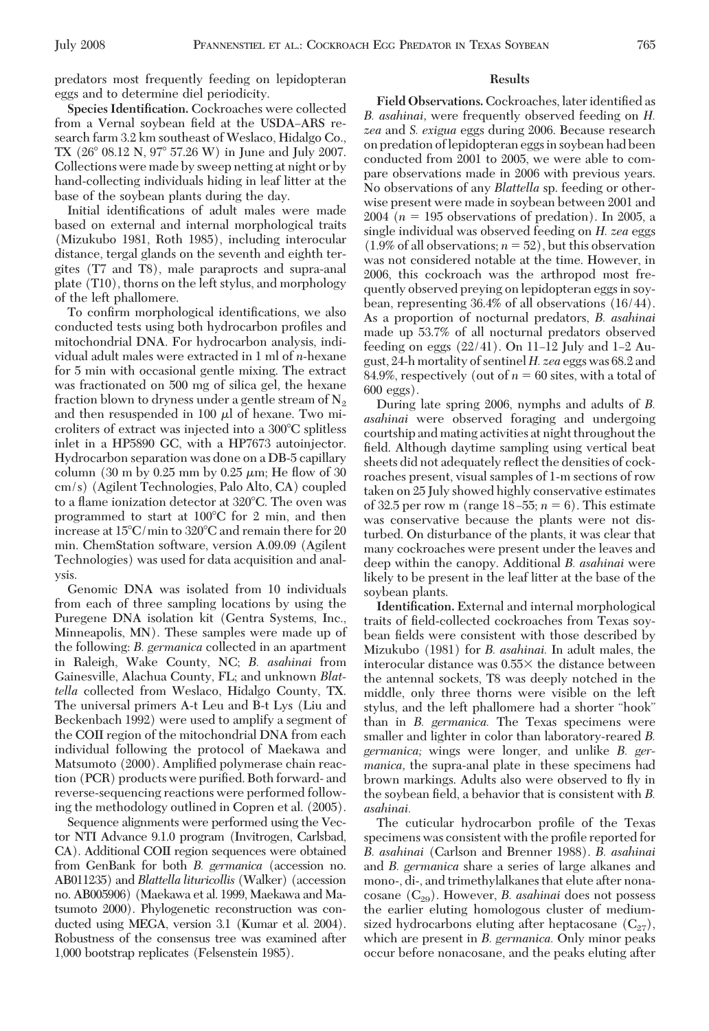predators most frequently feeding on lepidopteran eggs and to determine diel periodicity.

**Species Identification.** Cockroaches were collected from a Vernal soybean field at the USDA-ARS research farm 3.2 km southeast of Weslaco, Hidalgo Co., TX (26° 08.12 N, 97° 57.26 W) in June and July 2007. Collections were made by sweep netting at night or by hand-collecting individuals hiding in leaf litter at the base of the soybean plants during the day.

Initial identifications of adult males were made based on external and internal morphological traits (Mizukubo 1981, Roth 1985), including interocular distance, tergal glands on the seventh and eighth tergites (T7 and T8), male paraprocts and supra-anal plate (T10), thorns on the left stylus, and morphology of the left phallomere.

To confirm morphological identifications, we also conducted tests using both hydrocarbon profiles and mitochondrial DNA. For hydrocarbon analysis, individual adult males were extracted in 1 ml of *n*-hexane for 5 min with occasional gentle mixing. The extract was fractionated on 500 mg of silica gel, the hexane fraction blown to dryness under a gentle stream of  $N_2$ and then resuspended in 100  $\mu$ l of hexane. Two microliters of extract was injected into a 300°C splitless inlet in a HP5890 GC, with a HP7673 autoinjector. Hydrocarbon separation was done on a DB-5 capillary column  $(30 \text{ m by } 0.25 \text{ mm by } 0.25 \mu \text{m}$ ; He flow of 30 cm/s) (Agilent Technologies, Palo Alto, CA) coupled to a flame ionization detector at 320°C. The oven was programmed to start at 100°C for 2 min, and then increase at 15°C/min to 320°C and remain there for 20 min. ChemStation software, version A.09.09 (Agilent Technologies) was used for data acquisition and analysis.

Genomic DNA was isolated from 10 individuals from each of three sampling locations by using the Puregene DNA isolation kit (Gentra Systems, Inc., Minneapolis, MN). These samples were made up of the following: *B. germanica* collected in an apartment in Raleigh, Wake County, NC; *B. asahinai* from Gainesville, Alachua County, FL; and unknown *Blattella* collected from Weslaco, Hidalgo County, TX. The universal primers A-t Leu and B-t Lys (Liu and Beckenbach 1992) were used to amplify a segment of the COII region of the mitochondrial DNA from each individual following the protocol of Maekawa and Matsumoto (2000). Amplified polymerase chain reaction (PCR) products were purified. Both forward- and reverse-sequencing reactions were performed following the methodology outlined in Copren et al. (2005).

Sequence alignments were performed using the Vector NTI Advance 9.1.0 program (Invitrogen, Carlsbad, CA). Additional COII region sequences were obtained from GenBank for both *B. germanica* (accession no. AB011235) and *Blattella lituricollis* (Walker) (accession no. AB005906) (Maekawa et al. 1999, Maekawa and Matsumoto 2000). Phylogenetic reconstruction was conducted using MEGA, version 3.1 (Kumar et al. 2004). Robustness of the consensus tree was examined after 1,000 bootstrap replicates (Felsenstein 1985).

# **Results**

Field Observations. Cockroaches, later identified as *B. asahinai,* were frequently observed feeding on *H. zea* and *S. exigua* eggs during 2006. Because research on predation oflepidopteran eggsin soybean had been conducted from 2001 to 2005, we were able to compare observations made in 2006 with previous years. No observations of any *Blattella* sp. feeding or otherwise present were made in soybean between 2001 and  $2004$  ( $n = 195$  observations of predation). In 2005, a single individual was observed feeding on *H. zea* eggs  $(1.9\% \text{ of all observations}; n = 52)$ , but this observation was not considered notable at the time. However, in 2006, this cockroach was the arthropod most frequently observed preying on lepidopteran eggs in soybean, representing 36.4% of all observations (16/44). As a proportion of nocturnal predators, *B. asahinai* made up 53.7% of all nocturnal predators observed feeding on eggs  $(22/41)$ . On 11–12 July and 1–2 August, 24-h mortality of sentinel *H. zea* eggs was 68.2 and 84.9%, respectively (out of  $n = 60$  sites, with a total of 600 eggs).

During late spring 2006, nymphs and adults of *B. asahinai* were observed foraging and undergoing courtship and mating activities at night throughout the field. Although daytime sampling using vertical beat sheets did not adequately reßect the densities of cockroaches present, visual samples of 1-m sections of row taken on 25 July showed highly conservative estimates of 32.5 per row m (range  $18-55$ ;  $n = 6$ ). This estimate was conservative because the plants were not disturbed. On disturbance of the plants, it was clear that many cockroaches were present under the leaves and deep within the canopy. Additional *B. asahinai* were likely to be present in the leaf litter at the base of the soybean plants.

**Identification.** External and internal morphological traits of field-collected cockroaches from Texas soybean fields were consistent with those described by Mizukubo (1981) for *B. asahinai.* In adult males, the interocular distance was  $0.55\times$  the distance between the antennal sockets, T8 was deeply notched in the middle, only three thorns were visible on the left stylus, and the left phallomere had a shorter "hook" than in *B. germanica.* The Texas specimens were smaller and lighter in color than laboratory-reared *B. germanica;* wings were longer, and unlike *B. germanica,* the supra-anal plate in these specimens had brown markings. Adults also were observed to ßy in the soybean field, a behavior that is consistent with *B*. *asahinai.*

The cuticular hydrocarbon profile of the Texas specimens was consistent with the profile reported for *B. asahinai* (Carlson and Brenner 1988). *B. asahinai* and *B. germanica* share a series of large alkanes and mono-, di-, and trimethylalkanes that elute after nonacosane (C<sub>29</sub>). However, *B. asahinai* does not possess the earlier eluting homologous cluster of mediumsized hydrocarbons eluting after heptacosane  $(C_{27})$ , which are present in *B. germanica.* Only minor peaks occur before nonacosane, and the peaks eluting after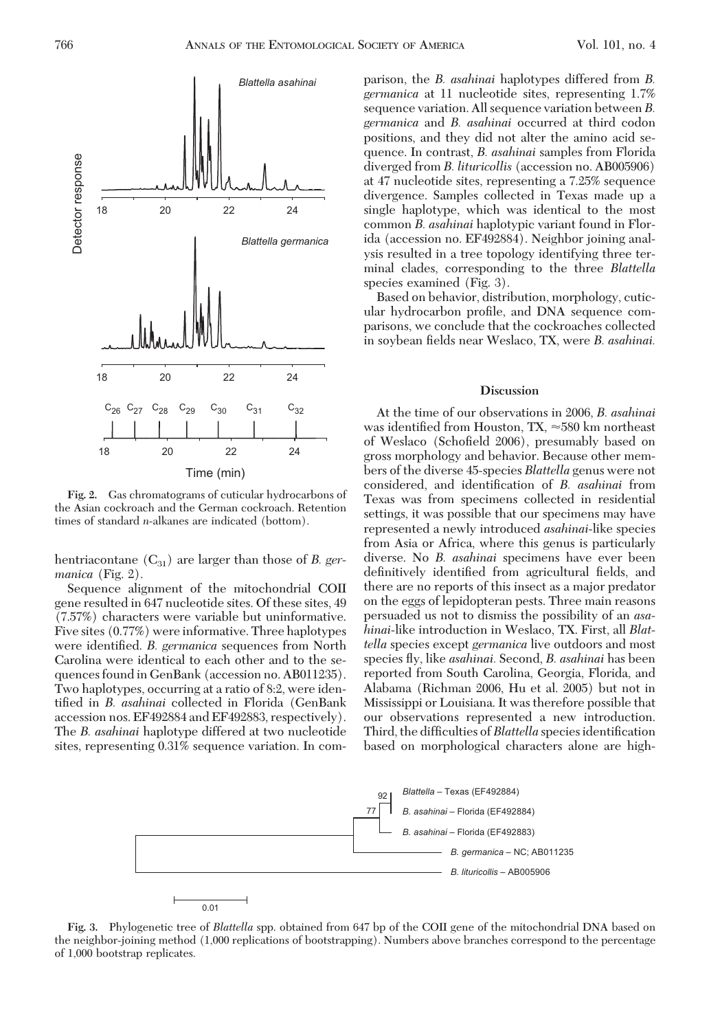

**Fig. 2.** Gas chromatograms of cuticular hydrocarbons of the Asian cockroach and the German cockroach. Retention times of standard *n*-alkanes are indicated (bottom).

hentriacontane (C<sub>31</sub>) are larger than those of *B. germanica* (Fig. 2).

Sequence alignment of the mitochondrial COII gene resulted in 647 nucleotide sites. Of these sites, 49 (7.57%) characters were variable but uninformative. Five sites (0.77%) were informative. Three haplotypes were identified. *B. germanica* sequences from North Carolina were identical to each other and to the sequences found in GenBank (accession no. AB011235). Two haplotypes, occurring at a ratio of 8:2, were identified in *B. asahinai* collected in Florida (GenBank accession nos. EF492884 and EF492883, respectively). The *B. asahinai* haplotype differed at two nucleotide sites, representing 0.31% sequence variation. In comparison, the *B. asahinai* haplotypes differed from *B. germanica* at 11 nucleotide sites, representing 1.7% sequence variation. All sequence variation between *B. germanica* and *B. asahinai* occurred at third codon positions, and they did not alter the amino acid sequence. In contrast, *B. asahinai* samples from Florida diverged from *B. lituricollis* (accession no. AB005906) at 47 nucleotide sites, representing a 7.25% sequence divergence. Samples collected in Texas made up a single haplotype, which was identical to the most common *B. asahinai* haplotypic variant found in Florida (accession no. EF492884). Neighbor joining analysis resulted in a tree topology identifying three terminal clades, corresponding to the three *Blattella* species examined (Fig. 3).

Based on behavior, distribution, morphology, cuticular hydrocarbon profile, and DNA sequence comparisons, we conclude that the cockroaches collected in soybean fields near Weslaco, TX, were *B. asahinai.* 

### **Discussion**

At the time of our observations in 2006, *B. asahinai* was identified from Houston, TX,  ${\approx}580$  km northeast of Weslaco (Schofield 2006), presumably based on gross morphology and behavior. Because other members of the diverse 45-species *Blattella* genus were not considered, and identification of *B. asahinai* from Texas was from specimens collected in residential settings, it was possible that our specimens may have represented a newly introduced *asahinai*-like species from Asia or Africa, where this genus is particularly diverse. No *B. asahinai* specimens have ever been definitively identified from agricultural fields, and there are no reports of this insect as a major predator on the eggs of lepidopteran pests. Three main reasons persuaded us not to dismiss the possibility of an *asahinai*-like introduction in Weslaco, TX. First, all *Blattella* species except *germanica* live outdoors and most species ßy, like *asahinai.* Second, *B. asahinai* has been reported from South Carolina, Georgia, Florida, and Alabama (Richman 2006, Hu et al. 2005) but not in Mississippi or Louisiana. It was therefore possible that our observations represented a new introduction. Third, the difficulties of *Blattella* species identification based on morphological characters alone are high-



**Fig. 3.** Phylogenetic tree of *Blattella* spp. obtained from 647 bp of the COII gene of the mitochondrial DNA based on the neighbor-joining method (1,000 replications of bootstrapping). Numbers above branches correspond to the percentage of 1,000 bootstrap replicates.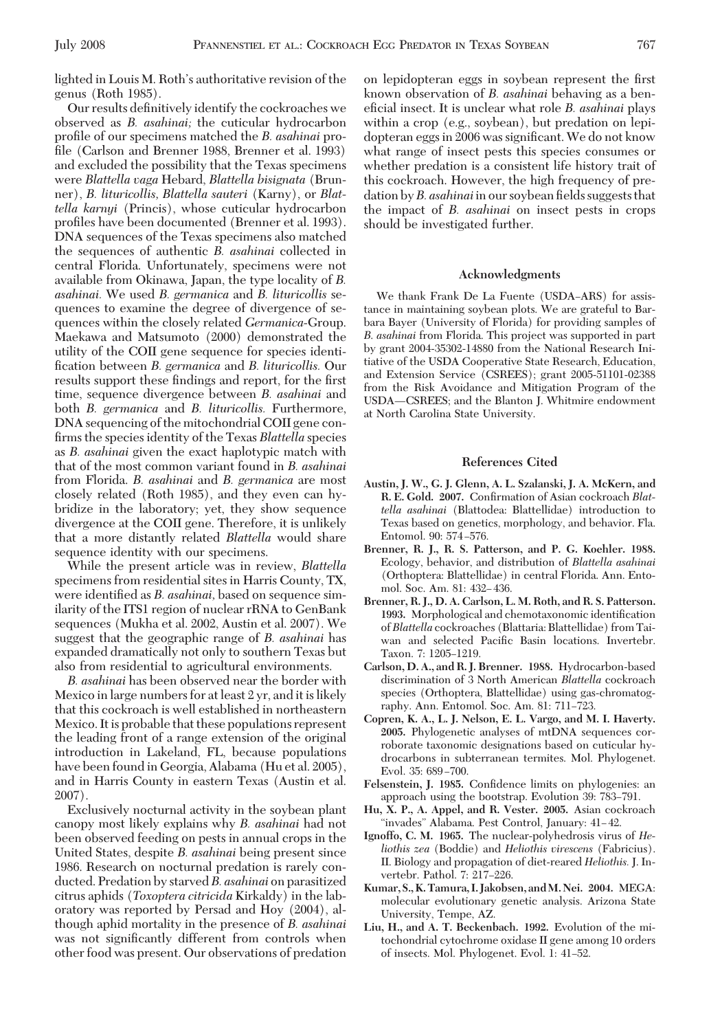lighted in Louis M. Roth's authoritative revision of the genus (Roth 1985).

Our results definitively identify the cockroaches we observed as *B. asahinai;* the cuticular hydrocarbon profile of our specimens matched the *B. asahinai* profile (Carlson and Brenner 1988, Brenner et al. 1993) and excluded the possibility that the Texas specimens were *Blattella vaga* Hebard, *Blattella bisignata* (Brunner), *B. lituricollis, Blattella sauteri* (Karny), or *Blattella karnyi* (Princis), whose cuticular hydrocarbon profiles have been documented (Brenner et al. 1993). DNA sequences of the Texas specimens also matched the sequences of authentic *B. asahinai* collected in central Florida. Unfortunately, specimens were not available from Okinawa, Japan, the type locality of *B. asahinai.* We used *B. germanica* and *B. lituricollis* sequences to examine the degree of divergence of sequences within the closely related *Germanica*-Group. Maekawa and Matsumoto (2000) demonstrated the utility of the COII gene sequence for species identi-Þcation between *B. germanica* and *B. lituricollis.* Our results support these findings and report, for the first time, sequence divergence between *B. asahinai* and both *B. germanica* and *B. lituricollis.* Furthermore, DNA sequencing of the mitochondrial COII gene confirms the species identity of the Texas *Blattella* species as *B. asahinai* given the exact haplotypic match with that of the most common variant found in *B. asahinai* from Florida. *B. asahinai* and *B. germanica* are most closely related (Roth 1985), and they even can hybridize in the laboratory; yet, they show sequence divergence at the COII gene. Therefore, it is unlikely that a more distantly related *Blattella* would share sequence identity with our specimens.

While the present article was in review, *Blattella* specimens from residential sites in Harris County, TX, were identified as *B. asahinai*, based on sequence similarity of the ITS1 region of nuclear rRNA to GenBank sequences (Mukha et al. 2002, Austin et al. 2007). We suggest that the geographic range of *B. asahinai* has expanded dramatically not only to southern Texas but also from residential to agricultural environments.

*B. asahinai* has been observed near the border with Mexico in large numbers for at least 2 yr, and it is likely that this cockroach is well established in northeastern Mexico. It is probable that these populations represent the leading front of a range extension of the original introduction in Lakeland, FL, because populations have been found in Georgia, Alabama (Hu et al. 2005), and in Harris County in eastern Texas (Austin et al. 2007).

Exclusively nocturnal activity in the soybean plant canopy most likely explains why *B. asahinai* had not been observed feeding on pests in annual crops in the United States, despite *B. asahinai* being present since 1986. Research on nocturnal predation is rarely conducted. Predation by starved*B. asahinai* on parasitized citrus aphids (*Toxoptera citricida* Kirkaldy) in the laboratory was reported by Persad and Hoy (2004), although aphid mortality in the presence of *B. asahinai* was not significantly different from controls when other food was present. Our observations of predation on lepidopteran eggs in soybean represent the first known observation of *B. asahinai* behaving as a beneficial insect. It is unclear what role *B. asahinai* plays within a crop (e.g., soybean), but predation on lepidopteran eggs in 2006 was significant. We do not know what range of insect pests this species consumes or whether predation is a consistent life history trait of this cockroach. However, the high frequency of predation by *B. asahinai* in our soybean fields suggests that the impact of *B. asahinai* on insect pests in crops should be investigated further.

#### **Acknowledgments**

We thank Frank De La Fuente (USDA-ARS) for assistance in maintaining soybean plots. We are grateful to Barbara Bayer (University of Florida) for providing samples of *B*. *asahinai* from Florida. This project was supported in part by grant 2004-35302-14880 from the National Research Initiative of the USDA Cooperative State Research, Education, and Extension Service (CSREES); grant 2005-51101-02388 from the Risk Avoidance and Mitigation Program of the USDA-CSREES; and the Blanton J. Whitmire endowment at North Carolina State University.

# **References Cited**

- **Austin, J. W., G. J. Glenn, A. L. Szalanski, J. A. McKern, and** R. E. Gold. 2007. Confirmation of Asian cockroach *Blattella asahinai* (Blattodea: Blattellidae) introduction to Texas based on genetics, morphology, and behavior. Fla. Entomol. 90: 574-576.
- **Brenner, R. J., R. S. Patterson, and P. G. Koehler. 1988.** Ecology, behavior, and distribution of *Blattella asahinai* (Orthoptera: Blattellidae) in central Florida. Ann. Entomol. Soc. Am. 81: 432–436.
- **Brenner, R. J., D. A. Carlson, L. M. Roth, and R. S. Patterson.** 1993. Morphological and chemotaxonomic identification of*Blattella* cockroaches (Blattaria: Blattellidae) from Taiwan and selected Pacific Basin locations. Invertebr. Taxon. 7: 1205-1219.
- **Carlson, D. A., and R. J. Brenner. 1988.** Hydrocarbon-based discrimination of 3 North American *Blattella* cockroach species (Orthoptera, Blattellidae) using gas-chromatography. Ann. Entomol. Soc. Am. 81: 711-723.
- **Copren, K. A., L. J. Nelson, E. L. Vargo, and M. I. Haverty. 2005.** Phylogenetic analyses of mtDNA sequences corroborate taxonomic designations based on cuticular hydrocarbons in subterranean termites. Mol. Phylogenet. Evol. 35: 689-700.
- Felsenstein, J. 1985. Confidence limits on phylogenies: an approach using the bootstrap. Evolution 39: 783–791.
- **Hu, X. P., A. Appel, and R. Vester. 2005.** Asian cockroach "invades" Alabama. Pest Control, January: 41-42.
- **Ignoffo, C. M. 1965.** The nuclear-polyhedrosis virus of *Heliothis zea* (Boddie) and *Heliothis virescens* (Fabricius). II. Biology and propagation of diet-reared *Heliothis.* J. Invertebr. Pathol. 7: 217-226.
- **Kumar, S., K. Tamura, I. Jakobsen, andM. Nei. 2004.** MEGA: molecular evolutionary genetic analysis. Arizona State University, Tempe, AZ.
- **Liu, H., and A. T. Beckenbach. 1992.** Evolution of the mitochondrial cytochrome oxidase II gene among 10 orders of insects. Mol. Phylogenet. Evol. 1: 41-52.